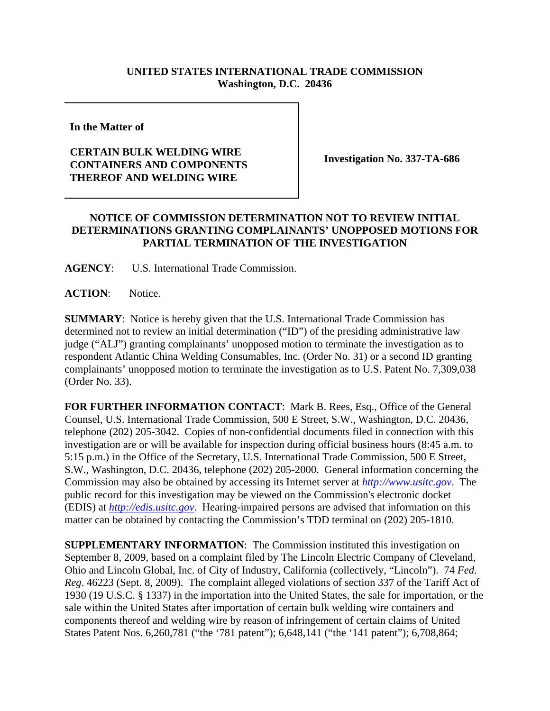## **UNITED STATES INTERNATIONAL TRADE COMMISSION Washington, D.C. 20436**

**In the Matter of** 

## **CERTAIN BULK WELDING WIRE CONTAINERS AND COMPONENTS THEREOF AND WELDING WIRE**

**Investigation No. 337-TA-686**

## **NOTICE OF COMMISSION DETERMINATION NOT TO REVIEW INITIAL DETERMINATIONS GRANTING COMPLAINANTS' UNOPPOSED MOTIONS FOR PARTIAL TERMINATION OF THE INVESTIGATION**

**AGENCY**: U.S. International Trade Commission.

**ACTION**: Notice.

**SUMMARY**: Notice is hereby given that the U.S. International Trade Commission has determined not to review an initial determination ("ID") of the presiding administrative law judge ("ALJ") granting complainants' unopposed motion to terminate the investigation as to respondent Atlantic China Welding Consumables, Inc. (Order No. 31) or a second ID granting complainants' unopposed motion to terminate the investigation as to U.S. Patent No. 7,309,038 (Order No. 33).

**FOR FURTHER INFORMATION CONTACT**: Mark B. Rees, Esq., Office of the General Counsel, U.S. International Trade Commission, 500 E Street, S.W., Washington, D.C. 20436, telephone (202) 205-3042. Copies of non-confidential documents filed in connection with this investigation are or will be available for inspection during official business hours (8:45 a.m. to 5:15 p.m.) in the Office of the Secretary, U.S. International Trade Commission, 500 E Street, S.W., Washington, D.C. 20436, telephone (202) 205-2000. General information concerning the Commission may also be obtained by accessing its Internet server at *http://www.usitc.gov*. The public record for this investigation may be viewed on the Commission's electronic docket (EDIS) at *http://edis.usitc.gov*. Hearing-impaired persons are advised that information on this matter can be obtained by contacting the Commission's TDD terminal on (202) 205-1810.

**SUPPLEMENTARY INFORMATION:** The Commission instituted this investigation on September 8, 2009, based on a complaint filed by The Lincoln Electric Company of Cleveland, Ohio and Lincoln Global, Inc. of City of Industry, California (collectively, "Lincoln"). 74 *Fed*. *Reg*. 46223 (Sept. 8, 2009). The complaint alleged violations of section 337 of the Tariff Act of 1930 (19 U.S.C. § 1337) in the importation into the United States, the sale for importation, or the sale within the United States after importation of certain bulk welding wire containers and components thereof and welding wire by reason of infringement of certain claims of United States Patent Nos. 6,260,781 ("the '781 patent"); 6,648,141 ("the '141 patent"); 6,708,864;